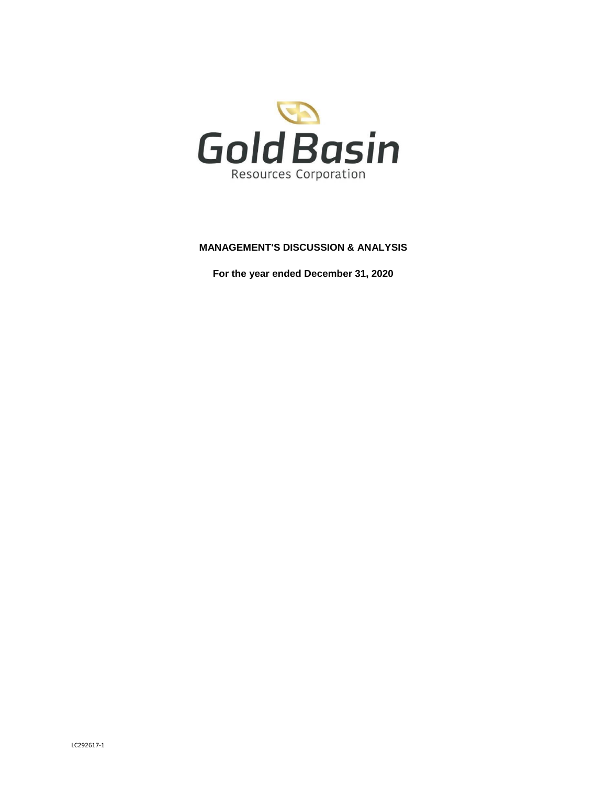

# **MANAGEMENT'S DISCUSSION & ANALYSIS**

**For the year ended December 31, 2020**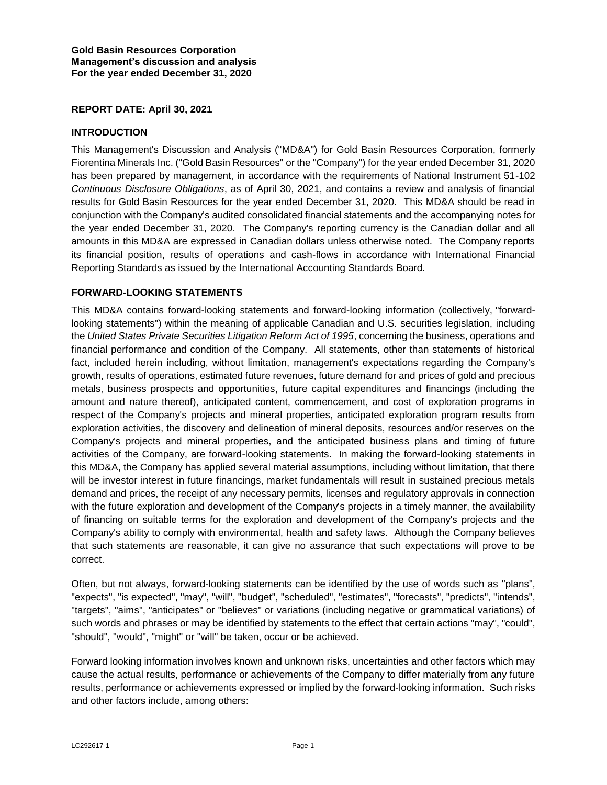### **REPORT DATE: April 30, 2021**

### **INTRODUCTION**

This Management's Discussion and Analysis ("MD&A") for Gold Basin Resources Corporation, formerly Fiorentina Minerals Inc. ("Gold Basin Resources" or the "Company") for the year ended December 31, 2020 has been prepared by management, in accordance with the requirements of National Instrument 51-102 *Continuous Disclosure Obligations*, as of April 30, 2021, and contains a review and analysis of financial results for Gold Basin Resources for the year ended December 31, 2020. This MD&A should be read in conjunction with the Company's audited consolidated financial statements and the accompanying notes for the year ended December 31, 2020. The Company's reporting currency is the Canadian dollar and all amounts in this MD&A are expressed in Canadian dollars unless otherwise noted. The Company reports its financial position, results of operations and cash-flows in accordance with International Financial Reporting Standards as issued by the International Accounting Standards Board.

# **FORWARD-LOOKING STATEMENTS**

This MD&A contains forward-looking statements and forward-looking information (collectively, "forwardlooking statements") within the meaning of applicable Canadian and U.S. securities legislation, including the *United States Private Securities Litigation Reform Act of 1995*, concerning the business, operations and financial performance and condition of the Company. All statements, other than statements of historical fact, included herein including, without limitation, management's expectations regarding the Company's growth, results of operations, estimated future revenues, future demand for and prices of gold and precious metals, business prospects and opportunities, future capital expenditures and financings (including the amount and nature thereof), anticipated content, commencement, and cost of exploration programs in respect of the Company's projects and mineral properties, anticipated exploration program results from exploration activities, the discovery and delineation of mineral deposits, resources and/or reserves on the Company's projects and mineral properties, and the anticipated business plans and timing of future activities of the Company, are forward-looking statements. In making the forward-looking statements in this MD&A, the Company has applied several material assumptions, including without limitation, that there will be investor interest in future financings, market fundamentals will result in sustained precious metals demand and prices, the receipt of any necessary permits, licenses and regulatory approvals in connection with the future exploration and development of the Company's projects in a timely manner, the availability of financing on suitable terms for the exploration and development of the Company's projects and the Company's ability to comply with environmental, health and safety laws. Although the Company believes that such statements are reasonable, it can give no assurance that such expectations will prove to be correct.

Often, but not always, forward-looking statements can be identified by the use of words such as "plans", "expects", "is expected", "may", "will", "budget", "scheduled", "estimates", "forecasts", "predicts", "intends", "targets", "aims", "anticipates" or "believes" or variations (including negative or grammatical variations) of such words and phrases or may be identified by statements to the effect that certain actions "may", "could", "should", "would", "might" or "will" be taken, occur or be achieved.

Forward looking information involves known and unknown risks, uncertainties and other factors which may cause the actual results, performance or achievements of the Company to differ materially from any future results, performance or achievements expressed or implied by the forward-looking information. Such risks and other factors include, among others: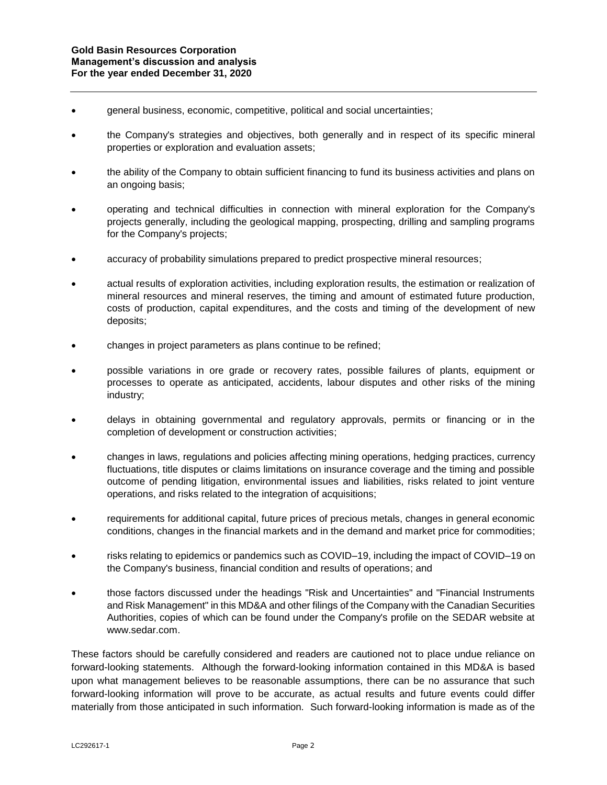- general business, economic, competitive, political and social uncertainties;
- the Company's strategies and objectives, both generally and in respect of its specific mineral properties or exploration and evaluation assets;
- the ability of the Company to obtain sufficient financing to fund its business activities and plans on an ongoing basis;
- operating and technical difficulties in connection with mineral exploration for the Company's projects generally, including the geological mapping, prospecting, drilling and sampling programs for the Company's projects;
- accuracy of probability simulations prepared to predict prospective mineral resources;
- actual results of exploration activities, including exploration results, the estimation or realization of mineral resources and mineral reserves, the timing and amount of estimated future production, costs of production, capital expenditures, and the costs and timing of the development of new deposits;
- changes in project parameters as plans continue to be refined;
- possible variations in ore grade or recovery rates, possible failures of plants, equipment or processes to operate as anticipated, accidents, labour disputes and other risks of the mining industry;
- delays in obtaining governmental and regulatory approvals, permits or financing or in the completion of development or construction activities;
- changes in laws, regulations and policies affecting mining operations, hedging practices, currency fluctuations, title disputes or claims limitations on insurance coverage and the timing and possible outcome of pending litigation, environmental issues and liabilities, risks related to joint venture operations, and risks related to the integration of acquisitions;
- requirements for additional capital, future prices of precious metals, changes in general economic conditions, changes in the financial markets and in the demand and market price for commodities;
- risks relating to epidemics or pandemics such as COVID–19, including the impact of COVID–19 on the Company's business, financial condition and results of operations; and
- those factors discussed under the headings "Risk and Uncertainties" and "Financial Instruments and Risk Management" in this MD&A and other filings of the Company with the Canadian Securities Authorities, copies of which can be found under the Company's profile on the SEDAR website at www.sedar.com.

These factors should be carefully considered and readers are cautioned not to place undue reliance on forward-looking statements. Although the forward-looking information contained in this MD&A is based upon what management believes to be reasonable assumptions, there can be no assurance that such forward-looking information will prove to be accurate, as actual results and future events could differ materially from those anticipated in such information. Such forward-looking information is made as of the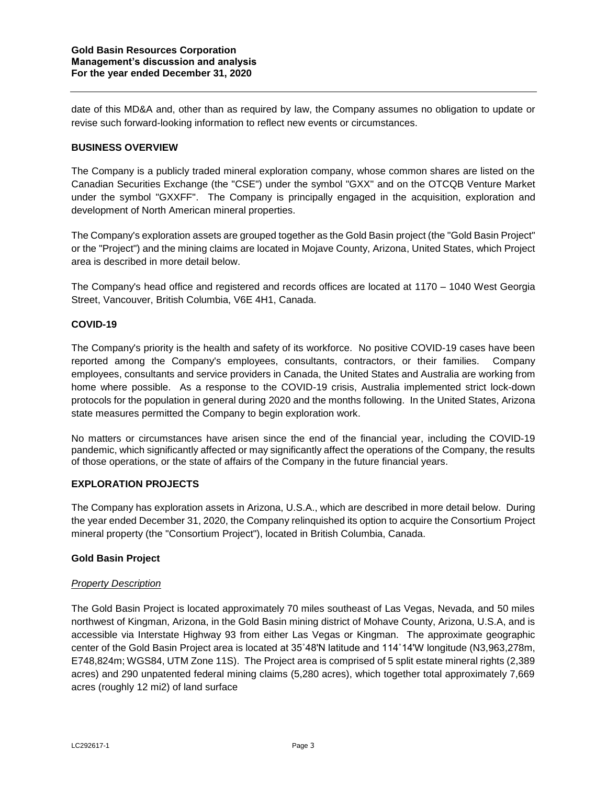date of this MD&A and, other than as required by law, the Company assumes no obligation to update or revise such forward-looking information to reflect new events or circumstances.

# **BUSINESS OVERVIEW**

The Company is a publicly traded mineral exploration company, whose common shares are listed on the Canadian Securities Exchange (the "CSE") under the symbol "GXX" and on the OTCQB Venture Market under the symbol "GXXFF". The Company is principally engaged in the acquisition, exploration and development of North American mineral properties.

The Company's exploration assets are grouped together as the Gold Basin project (the "Gold Basin Project" or the "Project") and the mining claims are located in Mojave County, Arizona, United States, which Project area is described in more detail below.

The Company's head office and registered and records offices are located at 1170 – 1040 West Georgia Street, Vancouver, British Columbia, V6E 4H1, Canada.

# **COVID-19**

The Company's priority is the health and safety of its workforce. No positive COVID-19 cases have been reported among the Company's employees, consultants, contractors, or their families. Company employees, consultants and service providers in Canada, the United States and Australia are working from home where possible. As a response to the COVID-19 crisis, Australia implemented strict lock-down protocols for the population in general during 2020 and the months following. In the United States, Arizona state measures permitted the Company to begin exploration work.

No matters or circumstances have arisen since the end of the financial year, including the COVID-19 pandemic, which significantly affected or may significantly affect the operations of the Company, the results of those operations, or the state of affairs of the Company in the future financial years.

### **EXPLORATION PROJECTS**

The Company has exploration assets in Arizona, U.S.A., which are described in more detail below. During the year ended December 31, 2020, the Company relinquished its option to acquire the Consortium Project mineral property (the "Consortium Project"), located in British Columbia, Canada.

### **Gold Basin Project**

### *Property Description*

The Gold Basin Project is located approximately 70 miles southeast of Las Vegas, Nevada, and 50 miles northwest of Kingman, Arizona, in the Gold Basin mining district of Mohave County, Arizona, U.S.A, and is accessible via Interstate Highway 93 from either Las Vegas or Kingman. The approximate geographic center of the Gold Basin Project area is located at 35˚48'N latitude and 114˚14'W longitude (N3,963,278m, E748,824m; WGS84, UTM Zone 11S). The Project area is comprised of 5 split estate mineral rights (2,389 acres) and 290 unpatented federal mining claims (5,280 acres), which together total approximately 7,669 acres (roughly 12 mi2) of land surface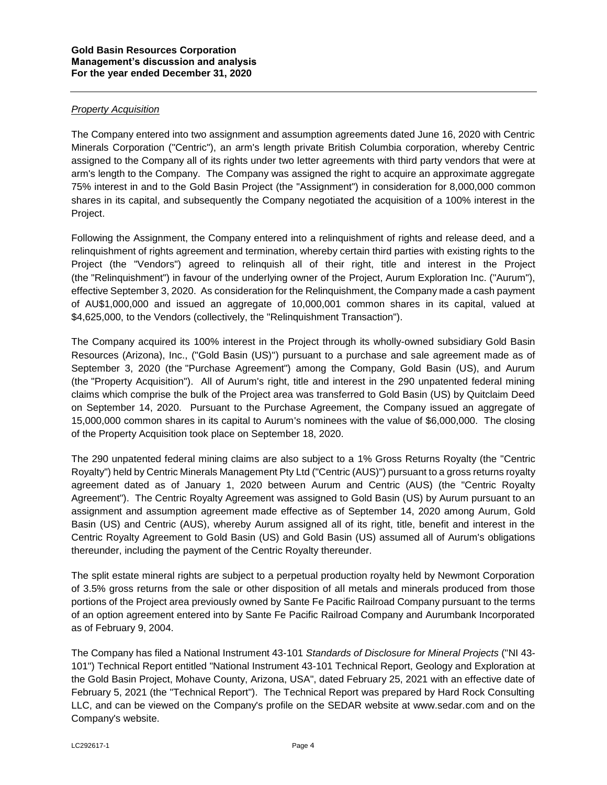## *Property Acquisition*

The Company entered into two assignment and assumption agreements dated June 16, 2020 with Centric Minerals Corporation ("Centric"), an arm's length private British Columbia corporation, whereby Centric assigned to the Company all of its rights under two letter agreements with third party vendors that were at arm's length to the Company. The Company was assigned the right to acquire an approximate aggregate 75% interest in and to the Gold Basin Project (the "Assignment") in consideration for 8,000,000 common shares in its capital, and subsequently the Company negotiated the acquisition of a 100% interest in the Project.

Following the Assignment, the Company entered into a relinquishment of rights and release deed, and a relinquishment of rights agreement and termination, whereby certain third parties with existing rights to the Project (the "Vendors") agreed to relinquish all of their right, title and interest in the Project (the "Relinquishment") in favour of the underlying owner of the Project, Aurum Exploration Inc. ("Aurum"), effective September 3, 2020. As consideration for the Relinquishment, the Company made a cash payment of AU\$1,000,000 and issued an aggregate of 10,000,001 common shares in its capital, valued at \$4,625,000, to the Vendors (collectively, the "Relinquishment Transaction").

The Company acquired its 100% interest in the Project through its wholly-owned subsidiary Gold Basin Resources (Arizona), Inc., ("Gold Basin (US)") pursuant to a purchase and sale agreement made as of September 3, 2020 (the "Purchase Agreement") among the Company, Gold Basin (US), and Aurum (the "Property Acquisition"). All of Aurum's right, title and interest in the 290 unpatented federal mining claims which comprise the bulk of the Project area was transferred to Gold Basin (US) by Quitclaim Deed on September 14, 2020. Pursuant to the Purchase Agreement, the Company issued an aggregate of 15,000,000 common shares in its capital to Aurum's nominees with the value of \$6,000,000. The closing of the Property Acquisition took place on September 18, 2020.

The 290 unpatented federal mining claims are also subject to a 1% Gross Returns Royalty (the "Centric Royalty") held by Centric Minerals Management Pty Ltd ("Centric (AUS)") pursuant to a gross returns royalty agreement dated as of January 1, 2020 between Aurum and Centric (AUS) (the "Centric Royalty Agreement"). The Centric Royalty Agreement was assigned to Gold Basin (US) by Aurum pursuant to an assignment and assumption agreement made effective as of September 14, 2020 among Aurum, Gold Basin (US) and Centric (AUS), whereby Aurum assigned all of its right, title, benefit and interest in the Centric Royalty Agreement to Gold Basin (US) and Gold Basin (US) assumed all of Aurum's obligations thereunder, including the payment of the Centric Royalty thereunder.

The split estate mineral rights are subject to a perpetual production royalty held by Newmont Corporation of 3.5% gross returns from the sale or other disposition of all metals and minerals produced from those portions of the Project area previously owned by Sante Fe Pacific Railroad Company pursuant to the terms of an option agreement entered into by Sante Fe Pacific Railroad Company and Aurumbank Incorporated as of February 9, 2004.

The Company has filed a National Instrument 43-101 *Standards of Disclosure for Mineral Projects* ("NI 43- 101") Technical Report entitled "National Instrument 43-101 Technical Report, Geology and Exploration at the Gold Basin Project, Mohave County, Arizona, USA", dated February 25, 2021 with an effective date of February 5, 2021 (the "Technical Report"). The Technical Report was prepared by Hard Rock Consulting LLC, and can be viewed on the Company's profile on the SEDAR website at www.sedar.com and on the Company's website.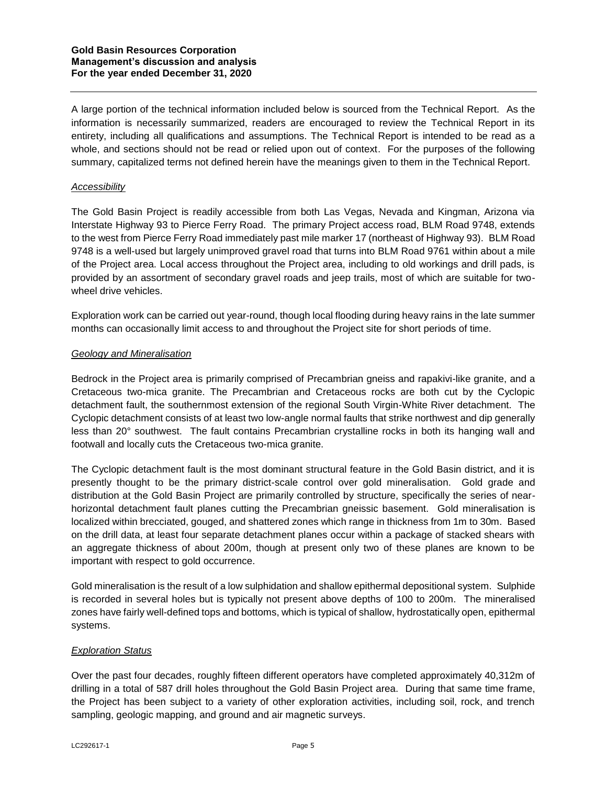A large portion of the technical information included below is sourced from the Technical Report. As the information is necessarily summarized, readers are encouraged to review the Technical Report in its entirety, including all qualifications and assumptions. The Technical Report is intended to be read as a whole, and sections should not be read or relied upon out of context. For the purposes of the following summary, capitalized terms not defined herein have the meanings given to them in the Technical Report.

## *Accessibility*

The Gold Basin Project is readily accessible from both Las Vegas, Nevada and Kingman, Arizona via Interstate Highway 93 to Pierce Ferry Road. The primary Project access road, BLM Road 9748, extends to the west from Pierce Ferry Road immediately past mile marker 17 (northeast of Highway 93). BLM Road 9748 is a well-used but largely unimproved gravel road that turns into BLM Road 9761 within about a mile of the Project area. Local access throughout the Project area, including to old workings and drill pads, is provided by an assortment of secondary gravel roads and jeep trails, most of which are suitable for twowheel drive vehicles.

Exploration work can be carried out year-round, though local flooding during heavy rains in the late summer months can occasionally limit access to and throughout the Project site for short periods of time.

# *Geology and Mineralisation*

Bedrock in the Project area is primarily comprised of Precambrian gneiss and rapakivi-like granite, and a Cretaceous two-mica granite. The Precambrian and Cretaceous rocks are both cut by the Cyclopic detachment fault, the southernmost extension of the regional South Virgin-White River detachment. The Cyclopic detachment consists of at least two low-angle normal faults that strike northwest and dip generally less than 20° southwest. The fault contains Precambrian crystalline rocks in both its hanging wall and footwall and locally cuts the Cretaceous two-mica granite.

The Cyclopic detachment fault is the most dominant structural feature in the Gold Basin district, and it is presently thought to be the primary district-scale control over gold mineralisation. Gold grade and distribution at the Gold Basin Project are primarily controlled by structure, specifically the series of nearhorizontal detachment fault planes cutting the Precambrian gneissic basement. Gold mineralisation is localized within brecciated, gouged, and shattered zones which range in thickness from 1m to 30m. Based on the drill data, at least four separate detachment planes occur within a package of stacked shears with an aggregate thickness of about 200m, though at present only two of these planes are known to be important with respect to gold occurrence.

Gold mineralisation is the result of a low sulphidation and shallow epithermal depositional system. Sulphide is recorded in several holes but is typically not present above depths of 100 to 200m. The mineralised zones have fairly well-defined tops and bottoms, which is typical of shallow, hydrostatically open, epithermal systems.

### *Exploration Status*

Over the past four decades, roughly fifteen different operators have completed approximately 40,312m of drilling in a total of 587 drill holes throughout the Gold Basin Project area. During that same time frame, the Project has been subject to a variety of other exploration activities, including soil, rock, and trench sampling, geologic mapping, and ground and air magnetic surveys.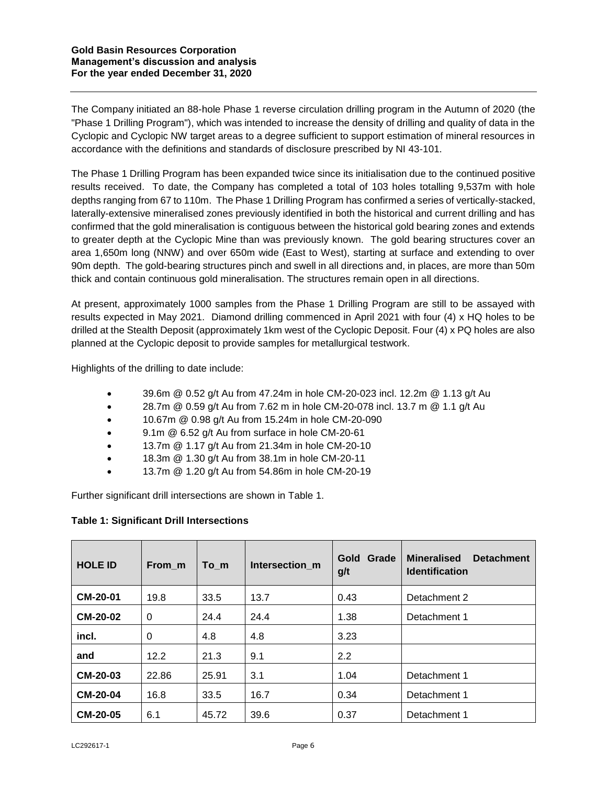The Company initiated an 88-hole Phase 1 reverse circulation drilling program in the Autumn of 2020 (the "Phase 1 Drilling Program"), which was intended to increase the density of drilling and quality of data in the Cyclopic and Cyclopic NW target areas to a degree sufficient to support estimation of mineral resources in accordance with the definitions and standards of disclosure prescribed by NI 43-101.

The Phase 1 Drilling Program has been expanded twice since its initialisation due to the continued positive results received. To date, the Company has completed a total of 103 holes totalling 9,537m with hole depths ranging from 67 to 110m. The Phase 1 Drilling Program has confirmed a series of vertically-stacked, laterally-extensive mineralised zones previously identified in both the historical and current drilling and has confirmed that the gold mineralisation is contiguous between the historical gold bearing zones and extends to greater depth at the Cyclopic Mine than was previously known. The gold bearing structures cover an area 1,650m long (NNW) and over 650m wide (East to West), starting at surface and extending to over 90m depth. The gold-bearing structures pinch and swell in all directions and, in places, are more than 50m thick and contain continuous gold mineralisation. The structures remain open in all directions.

At present, approximately 1000 samples from the Phase 1 Drilling Program are still to be assayed with results expected in May 2021. Diamond drilling commenced in April 2021 with four (4) x HQ holes to be drilled at the Stealth Deposit (approximately 1km west of the Cyclopic Deposit. Four (4) x PQ holes are also planned at the Cyclopic deposit to provide samples for metallurgical testwork.

Highlights of the drilling to date include:

- 39.6m @ 0.52 g/t Au from 47.24m in hole CM-20-023 incl. 12.2m @ 1.13 g/t Au
- 28.7m  $@$  0.59 g/t Au from 7.62 m in hole CM-20-078 incl. 13.7 m  $@$  1.1 g/t Au
- 10.67m @ 0.98 g/t Au from 15.24m in hole CM-20-090
- 9.1m @ 6.52 g/t Au from surface in hole CM-20-61
- 13.7m @ 1.17 g/t Au from 21.34m in hole CM-20-10
- 18.3m @ 1.30 g/t Au from 38.1m in hole CM-20-11
- 13.7m @ 1.20 g/t Au from 54.86m in hole CM-20-19

Further significant drill intersections are shown in Table 1.

# **Table 1: Significant Drill Intersections**

| <b>HOLE ID</b>  | From m   | To m  | Intersection m | Gold Grade<br>g/t | <b>Detachment</b><br><b>Mineralised</b><br><b>Identification</b> |
|-----------------|----------|-------|----------------|-------------------|------------------------------------------------------------------|
| <b>CM-20-01</b> | 19.8     | 33.5  | 13.7           | 0.43              | Detachment 2                                                     |
| <b>CM-20-02</b> | $\Omega$ | 24.4  | 24.4           | 1.38              | Detachment 1                                                     |
| incl.           | 0        | 4.8   | 4.8            | 3.23              |                                                                  |
| and             | 12.2     | 21.3  | 9.1            | 2.2               |                                                                  |
| <b>CM-20-03</b> | 22.86    | 25.91 | 3.1            | 1.04              | Detachment 1                                                     |
| <b>CM-20-04</b> | 16.8     | 33.5  | 16.7           | 0.34              | Detachment 1                                                     |
| <b>CM-20-05</b> | 6.1      | 45.72 | 39.6           | 0.37              | Detachment 1                                                     |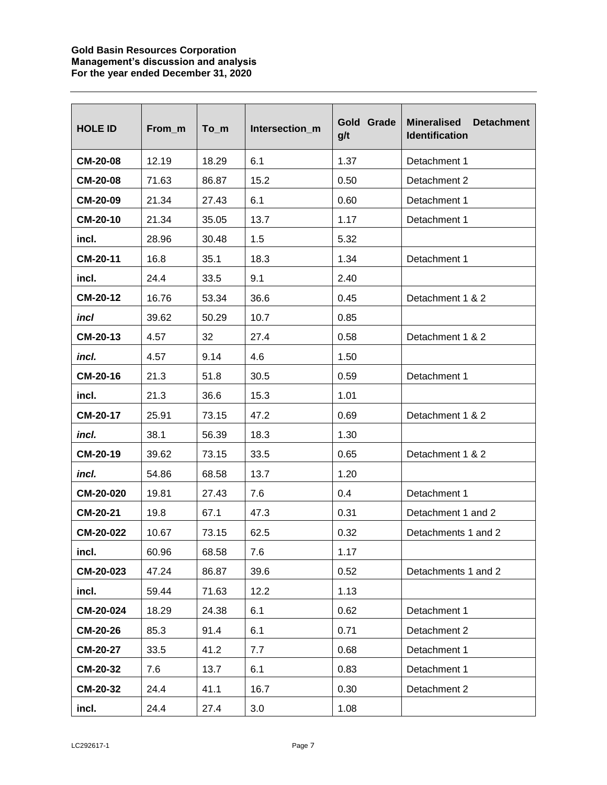## **Gold Basin Resources Corporation Management's discussion and analysis For the year ended December 31, 2020**

| <b>HOLE ID</b>  | From_m | $To$ _m | Intersection m | Gold Grade<br>g/t | <b>Mineralised</b><br><b>Detachment</b><br><b>Identification</b> |  |
|-----------------|--------|---------|----------------|-------------------|------------------------------------------------------------------|--|
| <b>CM-20-08</b> | 12.19  | 18.29   | 6.1            | 1.37              | Detachment 1                                                     |  |
| <b>CM-20-08</b> | 71.63  | 86.87   | 15.2           | 0.50              | Detachment 2                                                     |  |
| CM-20-09        | 21.34  | 27.43   | 6.1            | 0.60              | Detachment 1                                                     |  |
| CM-20-10        | 21.34  | 35.05   | 13.7           | 1.17              | Detachment 1                                                     |  |
| incl.           | 28.96  | 30.48   | 1.5            | 5.32              |                                                                  |  |
| CM-20-11        | 16.8   | 35.1    | 18.3           | 1.34              | Detachment 1                                                     |  |
| incl.           | 24.4   | 33.5    | 9.1            | 2.40              |                                                                  |  |
| <b>CM-20-12</b> | 16.76  | 53.34   | 36.6           | 0.45              | Detachment 1 & 2                                                 |  |
| incl            | 39.62  | 50.29   | 10.7           | 0.85              |                                                                  |  |
| CM-20-13        | 4.57   | 32      | 27.4           | 0.58              | Detachment 1 & 2                                                 |  |
| incl.           | 4.57   | 9.14    | 4.6            | 1.50              |                                                                  |  |
| CM-20-16        | 21.3   | 51.8    | 30.5           | 0.59              | Detachment 1                                                     |  |
| incl.           | 21.3   | 36.6    | 15.3           | 1.01              |                                                                  |  |
| <b>CM-20-17</b> | 25.91  | 73.15   | 47.2           | 0.69              | Detachment 1 & 2                                                 |  |
| incl.           | 38.1   | 56.39   | 18.3           | 1.30              |                                                                  |  |
| CM-20-19        | 39.62  | 73.15   | 33.5           | 0.65              | Detachment 1 & 2                                                 |  |
| incl.           | 54.86  | 68.58   | 13.7           | 1.20              |                                                                  |  |
| CM-20-020       | 19.81  | 27.43   | 7.6            | 0.4               | Detachment 1                                                     |  |
| <b>CM-20-21</b> | 19.8   | 67.1    | 47.3           | 0.31              | Detachment 1 and 2                                               |  |
| CM-20-022       | 10.67  | 73.15   | 62.5           | 0.32              | Detachments 1 and 2                                              |  |
| incl.           | 60.96  | 68.58   | 7.6            | 1.17              |                                                                  |  |
| CM-20-023       | 47.24  | 86.87   | 39.6           | 0.52              | Detachments 1 and 2                                              |  |
| incl.           | 59.44  | 71.63   | 12.2           | 1.13              |                                                                  |  |
| CM-20-024       | 18.29  | 24.38   | 6.1            | 0.62              | Detachment 1                                                     |  |
| <b>CM-20-26</b> | 85.3   | 91.4    | 6.1            | 0.71              | Detachment 2                                                     |  |
| <b>CM-20-27</b> | 33.5   | 41.2    | 7.7            | 0.68              | Detachment 1                                                     |  |
| <b>CM-20-32</b> | 7.6    | 13.7    | 6.1            | 0.83              | Detachment 1                                                     |  |
| <b>CM-20-32</b> | 24.4   | 41.1    | 16.7           | 0.30              | Detachment 2                                                     |  |
| incl.           | 24.4   | 27.4    | 3.0            | 1.08              |                                                                  |  |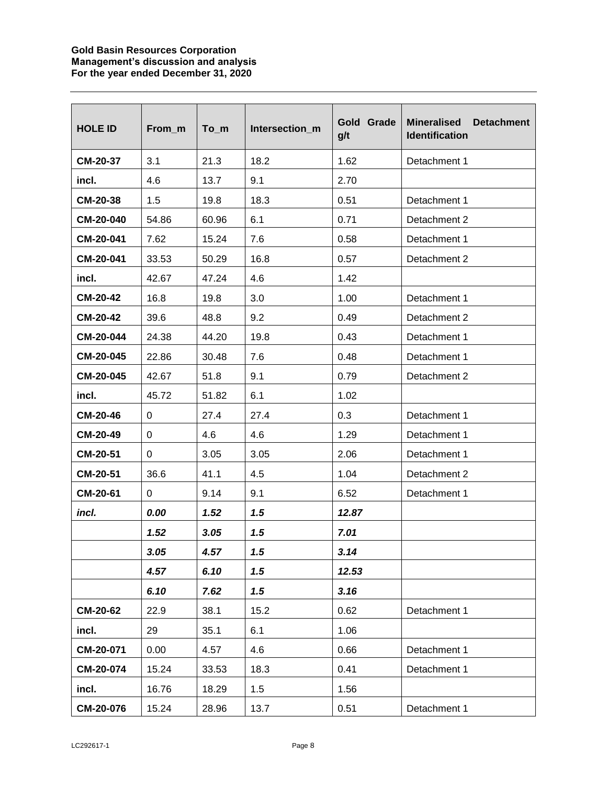## **Gold Basin Resources Corporation Management's discussion and analysis For the year ended December 31, 2020**

| <b>HOLE ID</b>  | From m      | $To$ _m | Intersection m | Gold Grade<br>g/t | <b>Mineralised</b><br><b>Detachment</b><br><b>Identification</b> |  |
|-----------------|-------------|---------|----------------|-------------------|------------------------------------------------------------------|--|
| <b>CM-20-37</b> | 3.1         | 21.3    | 18.2           | 1.62              | Detachment 1                                                     |  |
| incl.           | 4.6         | 13.7    | 9.1            | 2.70              |                                                                  |  |
| CM-20-38        | 1.5         | 19.8    | 18.3           | 0.51              | Detachment 1                                                     |  |
| CM-20-040       | 54.86       | 60.96   | 6.1            | 0.71              | Detachment 2                                                     |  |
| CM-20-041       | 7.62        | 15.24   | 7.6            | 0.58              | Detachment 1                                                     |  |
| CM-20-041       | 33.53       | 50.29   | 16.8           | 0.57              | Detachment 2                                                     |  |
| incl.           | 42.67       | 47.24   | 4.6            | 1.42              |                                                                  |  |
| <b>CM-20-42</b> | 16.8        | 19.8    | 3.0            | 1.00              | Detachment 1                                                     |  |
| <b>CM-20-42</b> | 39.6        | 48.8    | 9.2            | 0.49              | Detachment 2                                                     |  |
| CM-20-044       | 24.38       | 44.20   | 19.8           | 0.43              | Detachment 1                                                     |  |
| CM-20-045       | 22.86       | 30.48   | 7.6            | 0.48              | Detachment 1                                                     |  |
| CM-20-045       | 42.67       | 51.8    | 9.1            | 0.79              | Detachment 2                                                     |  |
| incl.           | 45.72       | 51.82   | 6.1            | 1.02              |                                                                  |  |
| <b>CM-20-46</b> | 0           | 27.4    | 27.4           | 0.3               | Detachment 1                                                     |  |
| CM-20-49        | 0           | 4.6     | 4.6            | 1.29              | Detachment 1                                                     |  |
| <b>CM-20-51</b> | $\mathbf 0$ | 3.05    | 3.05           | 2.06              | Detachment 1                                                     |  |
| CM-20-51        | 36.6        | 41.1    | 4.5            | 1.04              | Detachment 2                                                     |  |
| CM-20-61        | 0           | 9.14    | 9.1            | 6.52              | Detachment 1                                                     |  |
| incl.           | 0.00        | 1.52    | 1.5            | 12.87             |                                                                  |  |
|                 | 1.52        | 3.05    | 1.5            | 7.01              |                                                                  |  |
|                 | 3.05        | 4.57    | 1.5            | 3.14              |                                                                  |  |
|                 | 4.57        | 6.10    | 1.5            | 12.53             |                                                                  |  |
|                 | 6.10        | 7.62    | 1.5            | 3.16              |                                                                  |  |
| <b>CM-20-62</b> | 22.9        | 38.1    | 15.2           | 0.62              | Detachment 1                                                     |  |
| incl.           | 29          | 35.1    | 6.1            | 1.06              |                                                                  |  |
| CM-20-071       | 0.00        | 4.57    | 4.6            | 0.66              | Detachment 1                                                     |  |
| CM-20-074       | 15.24       | 33.53   | 18.3           | 0.41              | Detachment 1                                                     |  |
| incl.           | 16.76       | 18.29   | 1.5            | 1.56              |                                                                  |  |
| CM-20-076       | 15.24       | 28.96   | 13.7           | 0.51              | Detachment 1                                                     |  |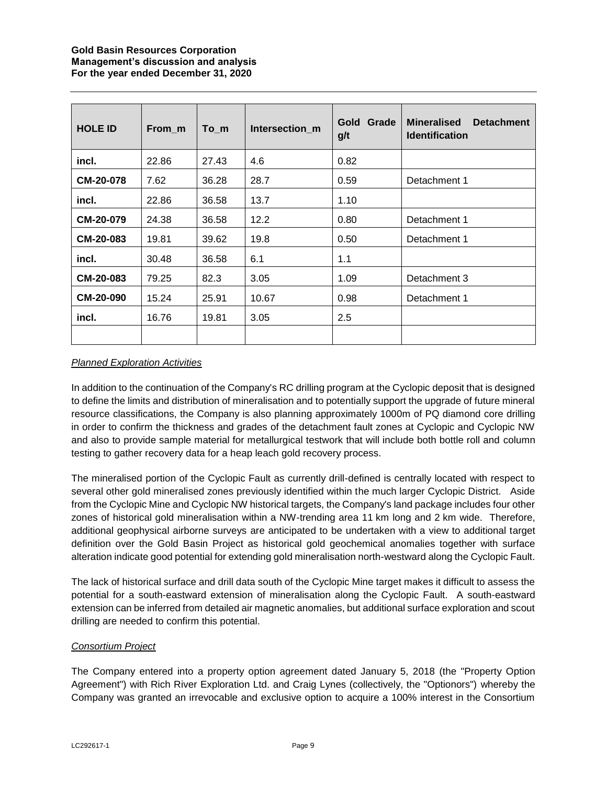# **Gold Basin Resources Corporation Management's discussion and analysis For the year ended December 31, 2020**

| <b>HOLE ID</b>   | From m | To m  | Intersection m | Grade<br>Gold<br>g/t | <b>Mineralised</b><br><b>Detachment</b><br><b>Identification</b> |  |
|------------------|--------|-------|----------------|----------------------|------------------------------------------------------------------|--|
| incl.            | 22.86  | 27.43 | 4.6            | 0.82                 |                                                                  |  |
| <b>CM-20-078</b> | 7.62   | 36.28 | 28.7           | 0.59                 | Detachment 1                                                     |  |
| incl.            | 22.86  | 36.58 | 13.7           | 1.10                 |                                                                  |  |
| CM-20-079        | 24.38  | 36.58 | 12.2           | 0.80                 | Detachment 1                                                     |  |
| CM-20-083        | 19.81  | 39.62 | 19.8           | 0.50                 | Detachment 1                                                     |  |
| incl.            | 30.48  | 36.58 | 6.1            | 1.1                  |                                                                  |  |
| CM-20-083        | 79.25  | 82.3  | 3.05           | 1.09                 | Detachment 3                                                     |  |
| <b>CM-20-090</b> | 15.24  | 25.91 | 10.67          | 0.98                 | Detachment 1                                                     |  |
| incl.            | 16.76  | 19.81 | 3.05           | 2.5                  |                                                                  |  |
|                  |        |       |                |                      |                                                                  |  |

# *Planned Exploration Activities*

In addition to the continuation of the Company's RC drilling program at the Cyclopic deposit that is designed to define the limits and distribution of mineralisation and to potentially support the upgrade of future mineral resource classifications, the Company is also planning approximately 1000m of PQ diamond core drilling in order to confirm the thickness and grades of the detachment fault zones at Cyclopic and Cyclopic NW and also to provide sample material for metallurgical testwork that will include both bottle roll and column testing to gather recovery data for a heap leach gold recovery process.

The mineralised portion of the Cyclopic Fault as currently drill-defined is centrally located with respect to several other gold mineralised zones previously identified within the much larger Cyclopic District. Aside from the Cyclopic Mine and Cyclopic NW historical targets, the Company's land package includes four other zones of historical gold mineralisation within a NW-trending area 11 km long and 2 km wide. Therefore, additional geophysical airborne surveys are anticipated to be undertaken with a view to additional target definition over the Gold Basin Project as historical gold geochemical anomalies together with surface alteration indicate good potential for extending gold mineralisation north-westward along the Cyclopic Fault.

The lack of historical surface and drill data south of the Cyclopic Mine target makes it difficult to assess the potential for a south-eastward extension of mineralisation along the Cyclopic Fault. A south-eastward extension can be inferred from detailed air magnetic anomalies, but additional surface exploration and scout drilling are needed to confirm this potential.

# *Consortium Project*

The Company entered into a property option agreement dated January 5, 2018 (the "Property Option Agreement") with Rich River Exploration Ltd. and Craig Lynes (collectively, the "Optionors") whereby the Company was granted an irrevocable and exclusive option to acquire a 100% interest in the Consortium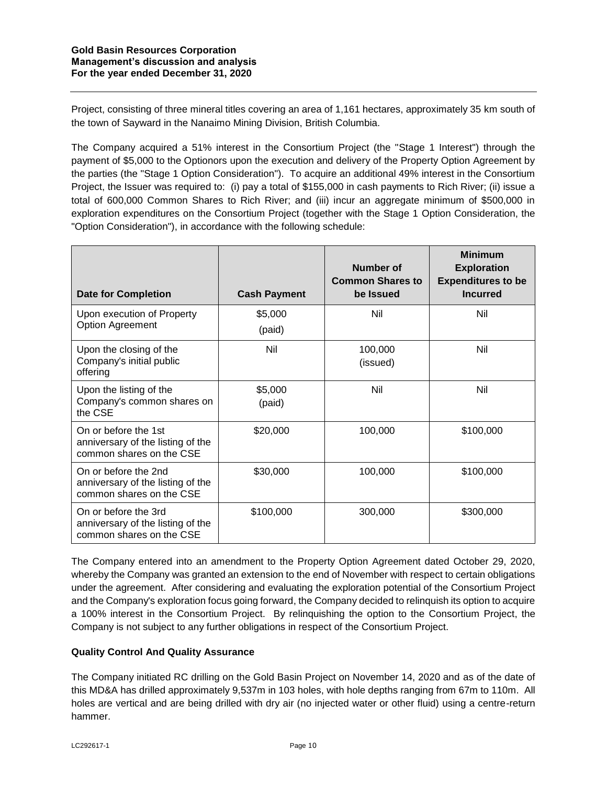Project, consisting of three mineral titles covering an area of 1,161 hectares, approximately 35 km south of the town of Sayward in the Nanaimo Mining Division, British Columbia.

The Company acquired a 51% interest in the Consortium Project (the "Stage 1 Interest") through the payment of \$5,000 to the Optionors upon the execution and delivery of the Property Option Agreement by the parties (the "Stage 1 Option Consideration"). To acquire an additional 49% interest in the Consortium Project, the Issuer was required to: (i) pay a total of \$155,000 in cash payments to Rich River; (ii) issue a total of 600,000 Common Shares to Rich River; and (iii) incur an aggregate minimum of \$500,000 in exploration expenditures on the Consortium Project (together with the Stage 1 Option Consideration, the "Option Consideration"), in accordance with the following schedule:

| <b>Date for Completion</b>                                                            | <b>Cash Payment</b> | Number of<br><b>Common Shares to</b><br>be Issued | <b>Minimum</b><br><b>Exploration</b><br><b>Expenditures to be</b><br><b>Incurred</b> |
|---------------------------------------------------------------------------------------|---------------------|---------------------------------------------------|--------------------------------------------------------------------------------------|
| Upon execution of Property<br>Option Agreement                                        | \$5,000<br>(paid)   | Nil                                               | Nil                                                                                  |
| Upon the closing of the<br>Company's initial public<br>offering                       | Nil                 | 100,000<br>(issued)                               | Nil                                                                                  |
| Upon the listing of the<br>Company's common shares on<br>the CSE                      | \$5,000<br>(paid)   | Nil                                               | Nil                                                                                  |
| On or before the 1st<br>anniversary of the listing of the<br>common shares on the CSE | \$20,000            | 100,000                                           | \$100,000                                                                            |
| On or before the 2nd<br>anniversary of the listing of the<br>common shares on the CSE | \$30,000            | 100,000                                           | \$100,000                                                                            |
| On or before the 3rd<br>anniversary of the listing of the<br>common shares on the CSE | \$100,000           | 300,000                                           | \$300,000                                                                            |

The Company entered into an amendment to the Property Option Agreement dated October 29, 2020, whereby the Company was granted an extension to the end of November with respect to certain obligations under the agreement. After considering and evaluating the exploration potential of the Consortium Project and the Company's exploration focus going forward, the Company decided to relinquish its option to acquire a 100% interest in the Consortium Project. By relinquishing the option to the Consortium Project, the Company is not subject to any further obligations in respect of the Consortium Project.

# **Quality Control And Quality Assurance**

The Company initiated RC drilling on the Gold Basin Project on November 14, 2020 and as of the date of this MD&A has drilled approximately 9,537m in 103 holes, with hole depths ranging from 67m to 110m. All holes are vertical and are being drilled with dry air (no injected water or other fluid) using a centre-return hammer.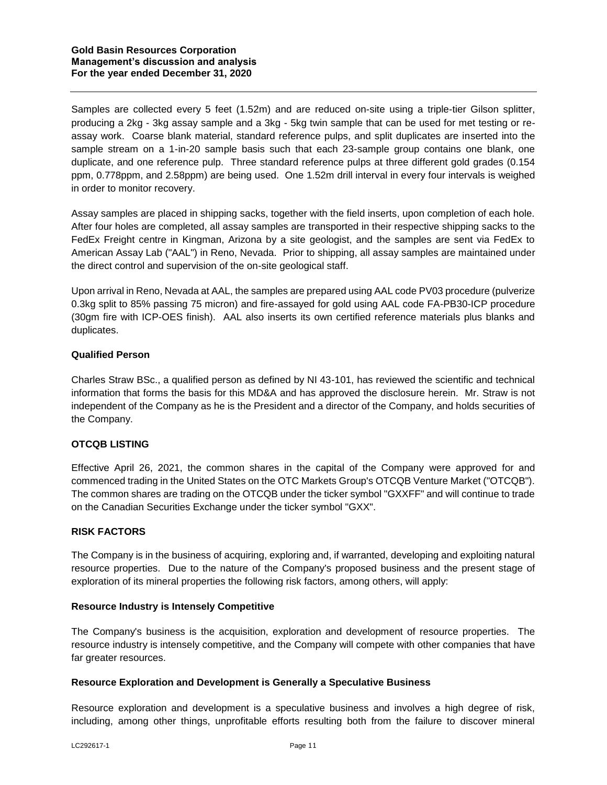Samples are collected every 5 feet (1.52m) and are reduced on-site using a triple-tier Gilson splitter, producing a 2kg - 3kg assay sample and a 3kg - 5kg twin sample that can be used for met testing or reassay work. Coarse blank material, standard reference pulps, and split duplicates are inserted into the sample stream on a 1-in-20 sample basis such that each 23-sample group contains one blank, one duplicate, and one reference pulp. Three standard reference pulps at three different gold grades (0.154 ppm, 0.778ppm, and 2.58ppm) are being used. One 1.52m drill interval in every four intervals is weighed in order to monitor recovery.

Assay samples are placed in shipping sacks, together with the field inserts, upon completion of each hole. After four holes are completed, all assay samples are transported in their respective shipping sacks to the FedEx Freight centre in Kingman, Arizona by a site geologist, and the samples are sent via FedEx to American Assay Lab ("AAL") in Reno, Nevada. Prior to shipping, all assay samples are maintained under the direct control and supervision of the on-site geological staff.

Upon arrival in Reno, Nevada at AAL, the samples are prepared using AAL code PV03 procedure (pulverize 0.3kg split to 85% passing 75 micron) and fire-assayed for gold using AAL code FA-PB30-ICP procedure (30gm fire with ICP-OES finish). AAL also inserts its own certified reference materials plus blanks and duplicates.

# **Qualified Person**

Charles Straw BSc., a qualified person as defined by NI 43-101, has reviewed the scientific and technical information that forms the basis for this MD&A and has approved the disclosure herein. Mr. Straw is not independent of the Company as he is the President and a director of the Company, and holds securities of the Company.

# **OTCQB LISTING**

Effective April 26, 2021, the common shares in the capital of the Company were approved for and commenced trading in the United States on the OTC Markets Group's OTCQB Venture Market ("OTCQB"). The common shares are trading on the OTCQB under the ticker symbol "GXXFF" and will continue to trade on the Canadian Securities Exchange under the ticker symbol "GXX".

### **RISK FACTORS**

The Company is in the business of acquiring, exploring and, if warranted, developing and exploiting natural resource properties. Due to the nature of the Company's proposed business and the present stage of exploration of its mineral properties the following risk factors, among others, will apply:

### **Resource Industry is Intensely Competitive**

The Company's business is the acquisition, exploration and development of resource properties. The resource industry is intensely competitive, and the Company will compete with other companies that have far greater resources.

### **Resource Exploration and Development is Generally a Speculative Business**

Resource exploration and development is a speculative business and involves a high degree of risk, including, among other things, unprofitable efforts resulting both from the failure to discover mineral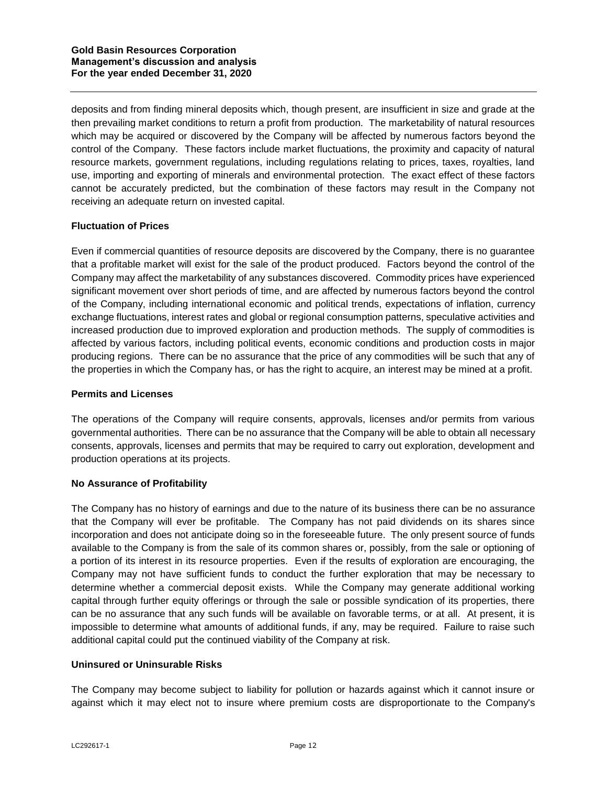deposits and from finding mineral deposits which, though present, are insufficient in size and grade at the then prevailing market conditions to return a profit from production. The marketability of natural resources which may be acquired or discovered by the Company will be affected by numerous factors beyond the control of the Company. These factors include market fluctuations, the proximity and capacity of natural resource markets, government regulations, including regulations relating to prices, taxes, royalties, land use, importing and exporting of minerals and environmental protection. The exact effect of these factors cannot be accurately predicted, but the combination of these factors may result in the Company not receiving an adequate return on invested capital.

# **Fluctuation of Prices**

Even if commercial quantities of resource deposits are discovered by the Company, there is no guarantee that a profitable market will exist for the sale of the product produced. Factors beyond the control of the Company may affect the marketability of any substances discovered. Commodity prices have experienced significant movement over short periods of time, and are affected by numerous factors beyond the control of the Company, including international economic and political trends, expectations of inflation, currency exchange fluctuations, interest rates and global or regional consumption patterns, speculative activities and increased production due to improved exploration and production methods. The supply of commodities is affected by various factors, including political events, economic conditions and production costs in major producing regions. There can be no assurance that the price of any commodities will be such that any of the properties in which the Company has, or has the right to acquire, an interest may be mined at a profit.

### **Permits and Licenses**

The operations of the Company will require consents, approvals, licenses and/or permits from various governmental authorities. There can be no assurance that the Company will be able to obtain all necessary consents, approvals, licenses and permits that may be required to carry out exploration, development and production operations at its projects.

### **No Assurance of Profitability**

The Company has no history of earnings and due to the nature of its business there can be no assurance that the Company will ever be profitable. The Company has not paid dividends on its shares since incorporation and does not anticipate doing so in the foreseeable future. The only present source of funds available to the Company is from the sale of its common shares or, possibly, from the sale or optioning of a portion of its interest in its resource properties. Even if the results of exploration are encouraging, the Company may not have sufficient funds to conduct the further exploration that may be necessary to determine whether a commercial deposit exists. While the Company may generate additional working capital through further equity offerings or through the sale or possible syndication of its properties, there can be no assurance that any such funds will be available on favorable terms, or at all. At present, it is impossible to determine what amounts of additional funds, if any, may be required. Failure to raise such additional capital could put the continued viability of the Company at risk.

### **Uninsured or Uninsurable Risks**

The Company may become subject to liability for pollution or hazards against which it cannot insure or against which it may elect not to insure where premium costs are disproportionate to the Company's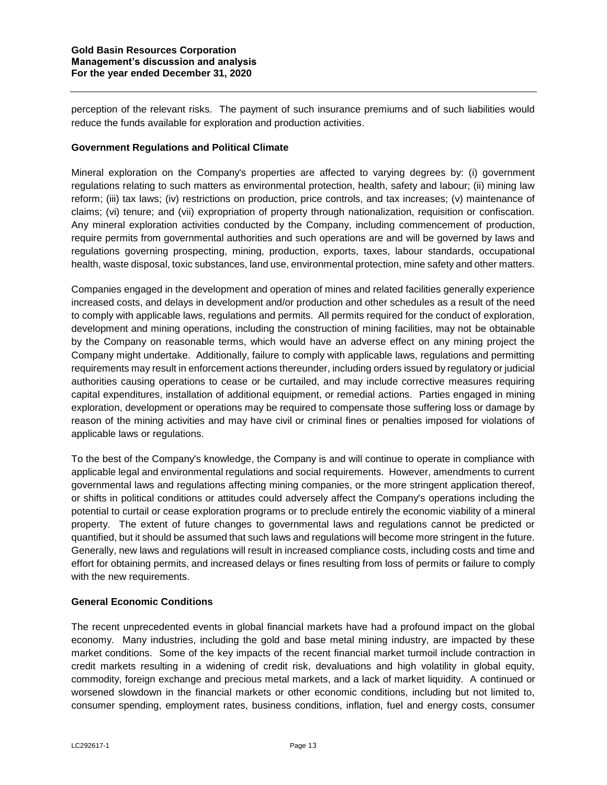perception of the relevant risks. The payment of such insurance premiums and of such liabilities would reduce the funds available for exploration and production activities.

## **Government Regulations and Political Climate**

Mineral exploration on the Company's properties are affected to varying degrees by: (i) government regulations relating to such matters as environmental protection, health, safety and labour; (ii) mining law reform; (iii) tax laws; (iv) restrictions on production, price controls, and tax increases; (v) maintenance of claims; (vi) tenure; and (vii) expropriation of property through nationalization, requisition or confiscation. Any mineral exploration activities conducted by the Company, including commencement of production, require permits from governmental authorities and such operations are and will be governed by laws and regulations governing prospecting, mining, production, exports, taxes, labour standards, occupational health, waste disposal, toxic substances, land use, environmental protection, mine safety and other matters.

Companies engaged in the development and operation of mines and related facilities generally experience increased costs, and delays in development and/or production and other schedules as a result of the need to comply with applicable laws, regulations and permits. All permits required for the conduct of exploration, development and mining operations, including the construction of mining facilities, may not be obtainable by the Company on reasonable terms, which would have an adverse effect on any mining project the Company might undertake. Additionally, failure to comply with applicable laws, regulations and permitting requirements may result in enforcement actions thereunder, including orders issued by regulatory or judicial authorities causing operations to cease or be curtailed, and may include corrective measures requiring capital expenditures, installation of additional equipment, or remedial actions. Parties engaged in mining exploration, development or operations may be required to compensate those suffering loss or damage by reason of the mining activities and may have civil or criminal fines or penalties imposed for violations of applicable laws or regulations.

To the best of the Company's knowledge, the Company is and will continue to operate in compliance with applicable legal and environmental regulations and social requirements. However, amendments to current governmental laws and regulations affecting mining companies, or the more stringent application thereof, or shifts in political conditions or attitudes could adversely affect the Company's operations including the potential to curtail or cease exploration programs or to preclude entirely the economic viability of a mineral property. The extent of future changes to governmental laws and regulations cannot be predicted or quantified, but it should be assumed that such laws and regulations will become more stringent in the future. Generally, new laws and regulations will result in increased compliance costs, including costs and time and effort for obtaining permits, and increased delays or fines resulting from loss of permits or failure to comply with the new requirements.

### **General Economic Conditions**

The recent unprecedented events in global financial markets have had a profound impact on the global economy. Many industries, including the gold and base metal mining industry, are impacted by these market conditions. Some of the key impacts of the recent financial market turmoil include contraction in credit markets resulting in a widening of credit risk, devaluations and high volatility in global equity, commodity, foreign exchange and precious metal markets, and a lack of market liquidity. A continued or worsened slowdown in the financial markets or other economic conditions, including but not limited to, consumer spending, employment rates, business conditions, inflation, fuel and energy costs, consumer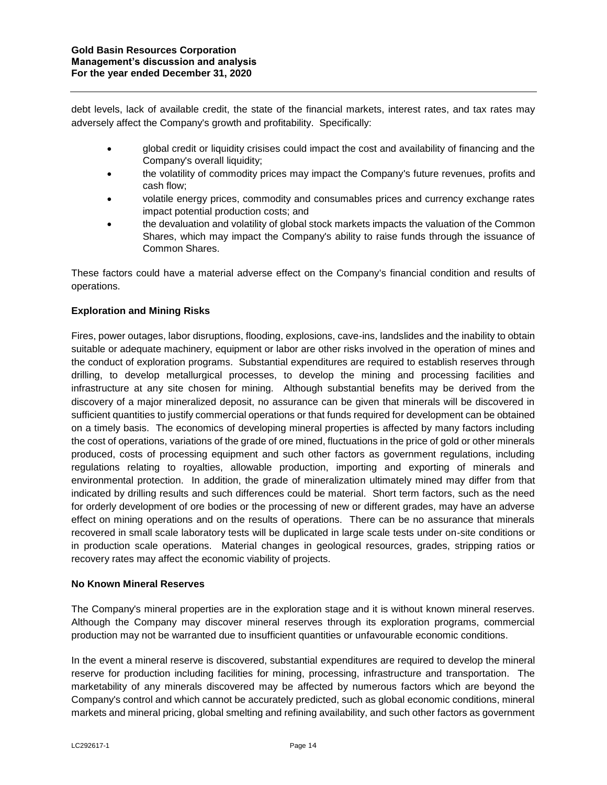debt levels, lack of available credit, the state of the financial markets, interest rates, and tax rates may adversely affect the Company's growth and profitability. Specifically:

- global credit or liquidity crisises could impact the cost and availability of financing and the Company's overall liquidity;
- the volatility of commodity prices may impact the Company's future revenues, profits and cash flow;
- volatile energy prices, commodity and consumables prices and currency exchange rates impact potential production costs; and
- the devaluation and volatility of global stock markets impacts the valuation of the Common Shares, which may impact the Company's ability to raise funds through the issuance of Common Shares.

These factors could have a material adverse effect on the Company's financial condition and results of operations.

# **Exploration and Mining Risks**

Fires, power outages, labor disruptions, flooding, explosions, cave-ins, landslides and the inability to obtain suitable or adequate machinery, equipment or labor are other risks involved in the operation of mines and the conduct of exploration programs. Substantial expenditures are required to establish reserves through drilling, to develop metallurgical processes, to develop the mining and processing facilities and infrastructure at any site chosen for mining. Although substantial benefits may be derived from the discovery of a major mineralized deposit, no assurance can be given that minerals will be discovered in sufficient quantities to justify commercial operations or that funds required for development can be obtained on a timely basis. The economics of developing mineral properties is affected by many factors including the cost of operations, variations of the grade of ore mined, fluctuations in the price of gold or other minerals produced, costs of processing equipment and such other factors as government regulations, including regulations relating to royalties, allowable production, importing and exporting of minerals and environmental protection. In addition, the grade of mineralization ultimately mined may differ from that indicated by drilling results and such differences could be material. Short term factors, such as the need for orderly development of ore bodies or the processing of new or different grades, may have an adverse effect on mining operations and on the results of operations. There can be no assurance that minerals recovered in small scale laboratory tests will be duplicated in large scale tests under on-site conditions or in production scale operations. Material changes in geological resources, grades, stripping ratios or recovery rates may affect the economic viability of projects.

# **No Known Mineral Reserves**

The Company's mineral properties are in the exploration stage and it is without known mineral reserves. Although the Company may discover mineral reserves through its exploration programs, commercial production may not be warranted due to insufficient quantities or unfavourable economic conditions.

In the event a mineral reserve is discovered, substantial expenditures are required to develop the mineral reserve for production including facilities for mining, processing, infrastructure and transportation. The marketability of any minerals discovered may be affected by numerous factors which are beyond the Company's control and which cannot be accurately predicted, such as global economic conditions, mineral markets and mineral pricing, global smelting and refining availability, and such other factors as government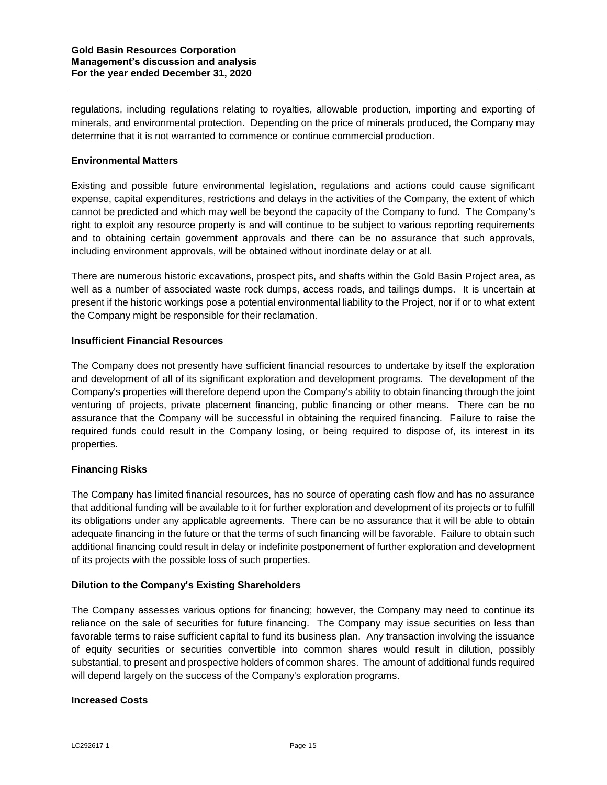regulations, including regulations relating to royalties, allowable production, importing and exporting of minerals, and environmental protection. Depending on the price of minerals produced, the Company may determine that it is not warranted to commence or continue commercial production.

## **Environmental Matters**

Existing and possible future environmental legislation, regulations and actions could cause significant expense, capital expenditures, restrictions and delays in the activities of the Company, the extent of which cannot be predicted and which may well be beyond the capacity of the Company to fund. The Company's right to exploit any resource property is and will continue to be subject to various reporting requirements and to obtaining certain government approvals and there can be no assurance that such approvals, including environment approvals, will be obtained without inordinate delay or at all.

There are numerous historic excavations, prospect pits, and shafts within the Gold Basin Project area, as well as a number of associated waste rock dumps, access roads, and tailings dumps. It is uncertain at present if the historic workings pose a potential environmental liability to the Project, nor if or to what extent the Company might be responsible for their reclamation.

# **Insufficient Financial Resources**

The Company does not presently have sufficient financial resources to undertake by itself the exploration and development of all of its significant exploration and development programs. The development of the Company's properties will therefore depend upon the Company's ability to obtain financing through the joint venturing of projects, private placement financing, public financing or other means. There can be no assurance that the Company will be successful in obtaining the required financing. Failure to raise the required funds could result in the Company losing, or being required to dispose of, its interest in its properties.

# **Financing Risks**

The Company has limited financial resources, has no source of operating cash flow and has no assurance that additional funding will be available to it for further exploration and development of its projects or to fulfill its obligations under any applicable agreements. There can be no assurance that it will be able to obtain adequate financing in the future or that the terms of such financing will be favorable. Failure to obtain such additional financing could result in delay or indefinite postponement of further exploration and development of its projects with the possible loss of such properties.

# **Dilution to the Company's Existing Shareholders**

The Company assesses various options for financing; however, the Company may need to continue its reliance on the sale of securities for future financing. The Company may issue securities on less than favorable terms to raise sufficient capital to fund its business plan. Any transaction involving the issuance of equity securities or securities convertible into common shares would result in dilution, possibly substantial, to present and prospective holders of common shares. The amount of additional funds required will depend largely on the success of the Company's exploration programs.

### **Increased Costs**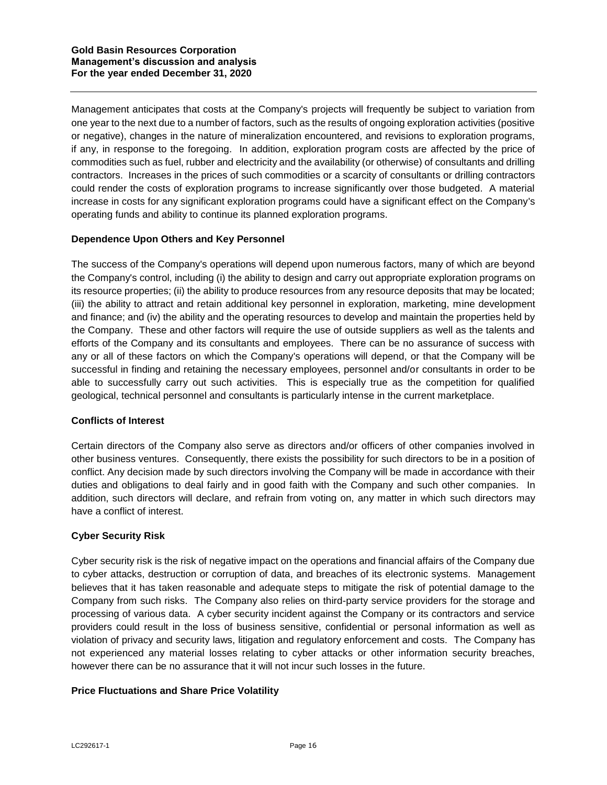Management anticipates that costs at the Company's projects will frequently be subject to variation from one year to the next due to a number of factors, such as the results of ongoing exploration activities (positive or negative), changes in the nature of mineralization encountered, and revisions to exploration programs, if any, in response to the foregoing. In addition, exploration program costs are affected by the price of commodities such as fuel, rubber and electricity and the availability (or otherwise) of consultants and drilling contractors. Increases in the prices of such commodities or a scarcity of consultants or drilling contractors could render the costs of exploration programs to increase significantly over those budgeted. A material increase in costs for any significant exploration programs could have a significant effect on the Company's operating funds and ability to continue its planned exploration programs.

# **Dependence Upon Others and Key Personnel**

The success of the Company's operations will depend upon numerous factors, many of which are beyond the Company's control, including (i) the ability to design and carry out appropriate exploration programs on its resource properties; (ii) the ability to produce resources from any resource deposits that may be located; (iii) the ability to attract and retain additional key personnel in exploration, marketing, mine development and finance; and (iv) the ability and the operating resources to develop and maintain the properties held by the Company. These and other factors will require the use of outside suppliers as well as the talents and efforts of the Company and its consultants and employees. There can be no assurance of success with any or all of these factors on which the Company's operations will depend, or that the Company will be successful in finding and retaining the necessary employees, personnel and/or consultants in order to be able to successfully carry out such activities. This is especially true as the competition for qualified geological, technical personnel and consultants is particularly intense in the current marketplace.

### **Conflicts of Interest**

Certain directors of the Company also serve as directors and/or officers of other companies involved in other business ventures. Consequently, there exists the possibility for such directors to be in a position of conflict. Any decision made by such directors involving the Company will be made in accordance with their duties and obligations to deal fairly and in good faith with the Company and such other companies. In addition, such directors will declare, and refrain from voting on, any matter in which such directors may have a conflict of interest.

# **Cyber Security Risk**

Cyber security risk is the risk of negative impact on the operations and financial affairs of the Company due to cyber attacks, destruction or corruption of data, and breaches of its electronic systems. Management believes that it has taken reasonable and adequate steps to mitigate the risk of potential damage to the Company from such risks. The Company also relies on third-party service providers for the storage and processing of various data. A cyber security incident against the Company or its contractors and service providers could result in the loss of business sensitive, confidential or personal information as well as violation of privacy and security laws, litigation and regulatory enforcement and costs. The Company has not experienced any material losses relating to cyber attacks or other information security breaches, however there can be no assurance that it will not incur such losses in the future.

### **Price Fluctuations and Share Price Volatility**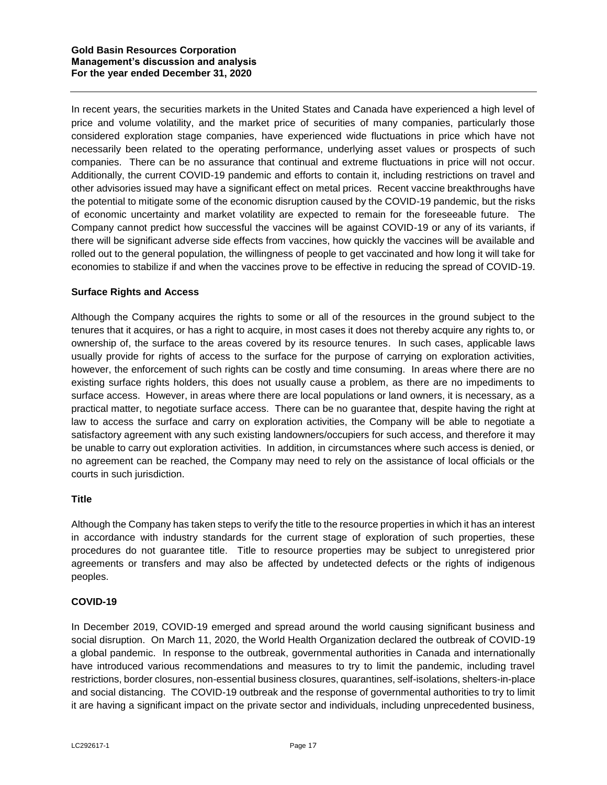In recent years, the securities markets in the United States and Canada have experienced a high level of price and volume volatility, and the market price of securities of many companies, particularly those considered exploration stage companies, have experienced wide fluctuations in price which have not necessarily been related to the operating performance, underlying asset values or prospects of such companies. There can be no assurance that continual and extreme fluctuations in price will not occur. Additionally, the current COVID-19 pandemic and efforts to contain it, including restrictions on travel and other advisories issued may have a significant effect on metal prices. Recent vaccine breakthroughs have the potential to mitigate some of the economic disruption caused by the COVID-19 pandemic, but the risks of economic uncertainty and market volatility are expected to remain for the foreseeable future. The Company cannot predict how successful the vaccines will be against COVID-19 or any of its variants, if there will be significant adverse side effects from vaccines, how quickly the vaccines will be available and rolled out to the general population, the willingness of people to get vaccinated and how long it will take for economies to stabilize if and when the vaccines prove to be effective in reducing the spread of COVID-19.

# **Surface Rights and Access**

Although the Company acquires the rights to some or all of the resources in the ground subject to the tenures that it acquires, or has a right to acquire, in most cases it does not thereby acquire any rights to, or ownership of, the surface to the areas covered by its resource tenures. In such cases, applicable laws usually provide for rights of access to the surface for the purpose of carrying on exploration activities, however, the enforcement of such rights can be costly and time consuming. In areas where there are no existing surface rights holders, this does not usually cause a problem, as there are no impediments to surface access. However, in areas where there are local populations or land owners, it is necessary, as a practical matter, to negotiate surface access. There can be no guarantee that, despite having the right at law to access the surface and carry on exploration activities, the Company will be able to negotiate a satisfactory agreement with any such existing landowners/occupiers for such access, and therefore it may be unable to carry out exploration activities. In addition, in circumstances where such access is denied, or no agreement can be reached, the Company may need to rely on the assistance of local officials or the courts in such jurisdiction.

### **Title**

Although the Company has taken steps to verify the title to the resource properties in which it has an interest in accordance with industry standards for the current stage of exploration of such properties, these procedures do not guarantee title. Title to resource properties may be subject to unregistered prior agreements or transfers and may also be affected by undetected defects or the rights of indigenous peoples.

### **COVID-19**

In December 2019, COVID-19 emerged and spread around the world causing significant business and social disruption. On March 11, 2020, the World Health Organization declared the outbreak of COVID-19 a global pandemic. In response to the outbreak, governmental authorities in Canada and internationally have introduced various recommendations and measures to try to limit the pandemic, including travel restrictions, border closures, non-essential business closures, quarantines, self-isolations, shelters-in-place and social distancing. The COVID-19 outbreak and the response of governmental authorities to try to limit it are having a significant impact on the private sector and individuals, including unprecedented business,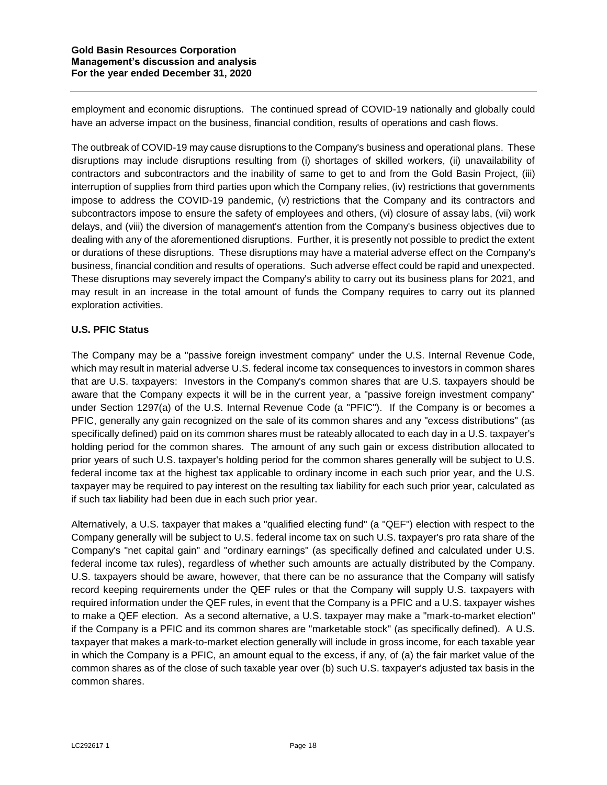employment and economic disruptions. The continued spread of COVID-19 nationally and globally could have an adverse impact on the business, financial condition, results of operations and cash flows.

The outbreak of COVID-19 may cause disruptions to the Company's business and operational plans. These disruptions may include disruptions resulting from (i) shortages of skilled workers, (ii) unavailability of contractors and subcontractors and the inability of same to get to and from the Gold Basin Project, (iii) interruption of supplies from third parties upon which the Company relies, (iv) restrictions that governments impose to address the COVID-19 pandemic, (v) restrictions that the Company and its contractors and subcontractors impose to ensure the safety of employees and others, (vi) closure of assay labs, (vii) work delays, and (viii) the diversion of management's attention from the Company's business objectives due to dealing with any of the aforementioned disruptions. Further, it is presently not possible to predict the extent or durations of these disruptions. These disruptions may have a material adverse effect on the Company's business, financial condition and results of operations. Such adverse effect could be rapid and unexpected. These disruptions may severely impact the Company's ability to carry out its business plans for 2021, and may result in an increase in the total amount of funds the Company requires to carry out its planned exploration activities.

# **U.S. PFIC Status**

The Company may be a "passive foreign investment company" under the U.S. Internal Revenue Code, which may result in material adverse U.S. federal income tax consequences to investors in common shares that are U.S. taxpayers: Investors in the Company's common shares that are U.S. taxpayers should be aware that the Company expects it will be in the current year, a "passive foreign investment company" under Section 1297(a) of the U.S. Internal Revenue Code (a "PFIC"). If the Company is or becomes a PFIC, generally any gain recognized on the sale of its common shares and any "excess distributions" (as specifically defined) paid on its common shares must be rateably allocated to each day in a U.S. taxpayer's holding period for the common shares. The amount of any such gain or excess distribution allocated to prior years of such U.S. taxpayer's holding period for the common shares generally will be subject to U.S. federal income tax at the highest tax applicable to ordinary income in each such prior year, and the U.S. taxpayer may be required to pay interest on the resulting tax liability for each such prior year, calculated as if such tax liability had been due in each such prior year.

Alternatively, a U.S. taxpayer that makes a "qualified electing fund" (a "QEF") election with respect to the Company generally will be subject to U.S. federal income tax on such U.S. taxpayer's pro rata share of the Company's "net capital gain" and "ordinary earnings" (as specifically defined and calculated under U.S. federal income tax rules), regardless of whether such amounts are actually distributed by the Company. U.S. taxpayers should be aware, however, that there can be no assurance that the Company will satisfy record keeping requirements under the QEF rules or that the Company will supply U.S. taxpayers with required information under the QEF rules, in event that the Company is a PFIC and a U.S. taxpayer wishes to make a QEF election. As a second alternative, a U.S. taxpayer may make a "mark-to-market election" if the Company is a PFIC and its common shares are "marketable stock" (as specifically defined). A U.S. taxpayer that makes a mark-to-market election generally will include in gross income, for each taxable year in which the Company is a PFIC, an amount equal to the excess, if any, of (a) the fair market value of the common shares as of the close of such taxable year over (b) such U.S. taxpayer's adjusted tax basis in the common shares.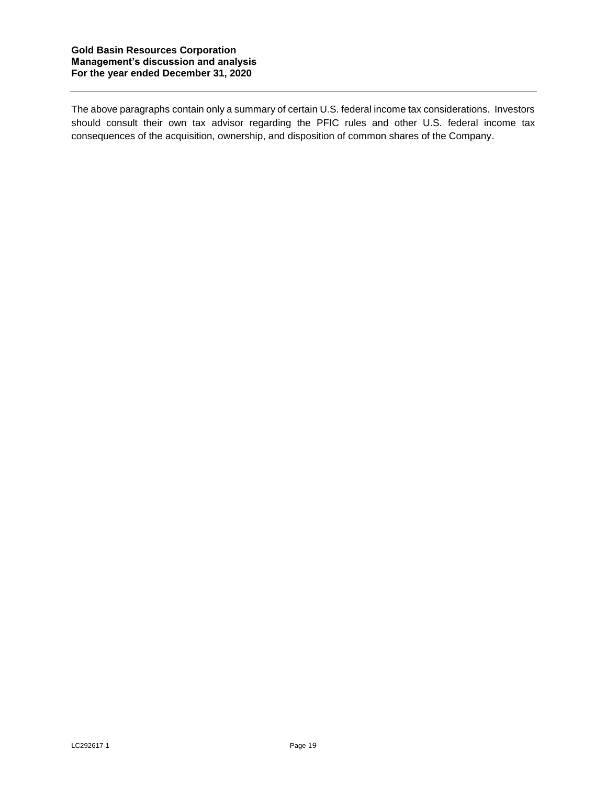The above paragraphs contain only a summary of certain U.S. federal income tax considerations. Investors should consult their own tax advisor regarding the PFIC rules and other U.S. federal income tax consequences of the acquisition, ownership, and disposition of common shares of the Company.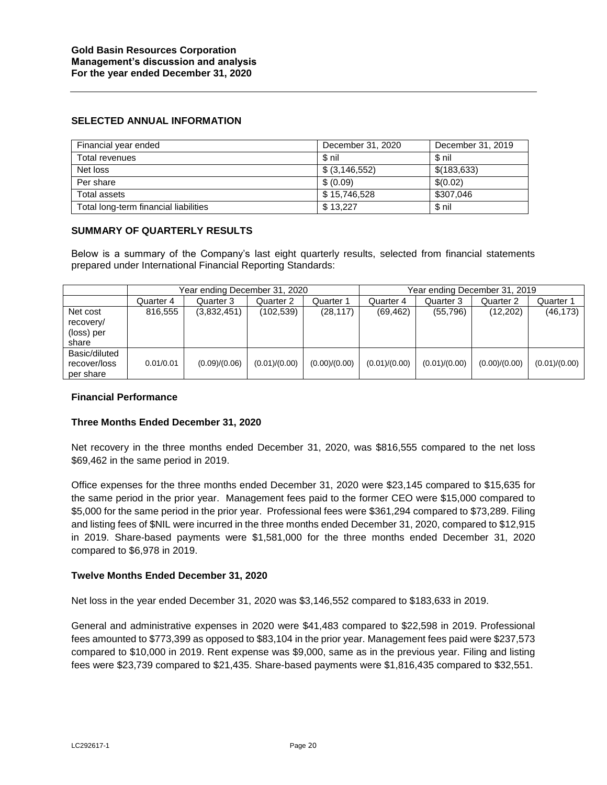#### **SELECTED ANNUAL INFORMATION**

| Financial year ended                  | December 31, 2020 | December 31, 2019 |
|---------------------------------------|-------------------|-------------------|
| Total revenues                        | \$ nil            | \$ nil            |
| Net loss                              | \$ (3, 146, 552)  | \$(183, 633)      |
| Per share                             | \$ (0.09)         | \$(0.02)          |
| Total assets                          | \$15,746,528      | \$307.046         |
| Total long-term financial liabilities | \$13,227          | \$ nil            |

#### **SUMMARY OF QUARTERLY RESULTS**

Below is a summary of the Company's last eight quarterly results, selected from financial statements prepared under International Financial Reporting Standards:

|                                              | Year ending December 31, 2020 |               |               |               | Year ending December 31, 2019 |               |               |               |
|----------------------------------------------|-------------------------------|---------------|---------------|---------------|-------------------------------|---------------|---------------|---------------|
|                                              | Quarter 4                     | Quarter 3     | Quarter 2     | Quarter 1     | Quarter 4                     | Quarter 3     | Quarter 2     | Quarter 1     |
| Net cost<br>recovery/<br>(loss) per<br>share | 816.555                       | (3,832,451)   | (102, 539)    | (28, 117)     | (69, 462)                     | (55, 796)     | (12,202)      | (46, 173)     |
| Basic/diluted<br>recover/loss<br>per share   | 0.01/0.01                     | (0.09)/(0.06) | (0.01)/(0.00) | (0.00)/(0.00) | (0.01)/(0.00)                 | (0.01)/(0.00) | (0.00)/(0.00) | (0.01)/(0.00) |

#### **Financial Performance**

### **Three Months Ended December 31, 2020**

Net recovery in the three months ended December 31, 2020, was \$816,555 compared to the net loss \$69,462 in the same period in 2019.

Office expenses for the three months ended December 31, 2020 were \$23,145 compared to \$15,635 for the same period in the prior year. Management fees paid to the former CEO were \$15,000 compared to \$5,000 for the same period in the prior year. Professional fees were \$361,294 compared to \$73,289. Filing and listing fees of \$NIL were incurred in the three months ended December 31, 2020, compared to \$12,915 in 2019. Share-based payments were \$1,581,000 for the three months ended December 31, 2020 compared to \$6,978 in 2019.

### **Twelve Months Ended December 31, 2020**

Net loss in the year ended December 31, 2020 was \$3,146,552 compared to \$183,633 in 2019.

General and administrative expenses in 2020 were \$41,483 compared to \$22,598 in 2019. Professional fees amounted to \$773,399 as opposed to \$83,104 in the prior year. Management fees paid were \$237,573 compared to \$10,000 in 2019. Rent expense was \$9,000, same as in the previous year. Filing and listing fees were \$23,739 compared to \$21,435. Share-based payments were \$1,816,435 compared to \$32,551.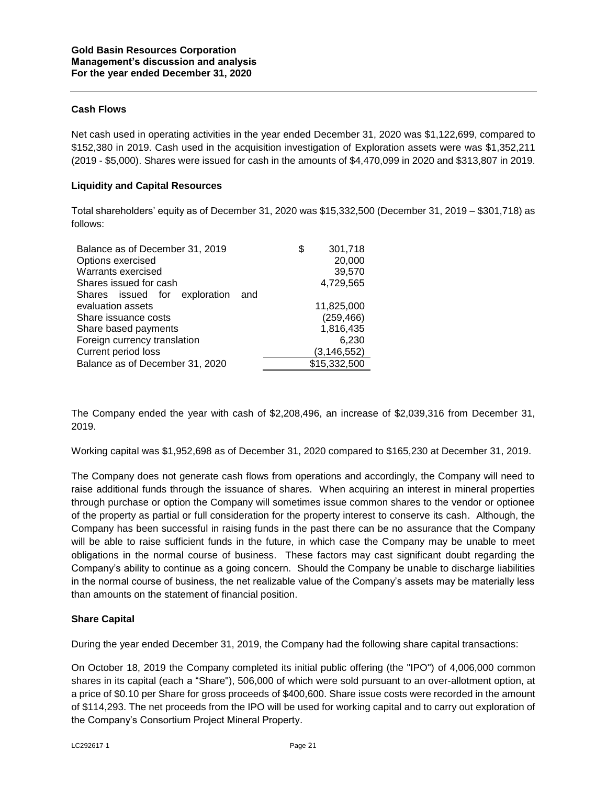## **Cash Flows**

Net cash used in operating activities in the year ended December 31, 2020 was \$1,122,699, compared to \$152,380 in 2019. Cash used in the acquisition investigation of Exploration assets were was \$1,352,211 (2019 - \$5,000). Shares were issued for cash in the amounts of \$4,470,099 in 2020 and \$313,807 in 2019.

## **Liquidity and Capital Resources**

Total shareholders' equity as of December 31, 2020 was \$15,332,500 (December 31, 2019 – \$301,718) as follows:

| Balance as of December 31, 2019      | S | 301,718       |
|--------------------------------------|---|---------------|
| Options exercised                    |   | 20,000        |
| Warrants exercised                   |   | 39,570        |
| Shares issued for cash               |   | 4,729,565     |
| Shares issued for exploration<br>and |   |               |
| evaluation assets                    |   | 11,825,000    |
| Share issuance costs                 |   | (259, 466)    |
| Share based payments                 |   | 1,816,435     |
| Foreign currency translation         |   | 6,230         |
| Current period loss                  |   | (3, 146, 552) |
| Balance as of December 31, 2020      |   | \$15,332,500  |
|                                      |   |               |

The Company ended the year with cash of \$2,208,496, an increase of \$2,039,316 from December 31, 2019.

Working capital was \$1,952,698 as of December 31, 2020 compared to \$165,230 at December 31, 2019.

The Company does not generate cash flows from operations and accordingly, the Company will need to raise additional funds through the issuance of shares. When acquiring an interest in mineral properties through purchase or option the Company will sometimes issue common shares to the vendor or optionee of the property as partial or full consideration for the property interest to conserve its cash. Although, the Company has been successful in raising funds in the past there can be no assurance that the Company will be able to raise sufficient funds in the future, in which case the Company may be unable to meet obligations in the normal course of business. These factors may cast significant doubt regarding the Company's ability to continue as a going concern. Should the Company be unable to discharge liabilities in the normal course of business, the net realizable value of the Company's assets may be materially less than amounts on the statement of financial position.

### **Share Capital**

During the year ended December 31, 2019, the Company had the following share capital transactions:

On October 18, 2019 the Company completed its initial public offering (the "IPO") of 4,006,000 common shares in its capital (each a "Share"), 506,000 of which were sold pursuant to an over-allotment option, at a price of \$0.10 per Share for gross proceeds of \$400,600. Share issue costs were recorded in the amount of \$114,293. The net proceeds from the IPO will be used for working capital and to carry out exploration of the Company's Consortium Project Mineral Property.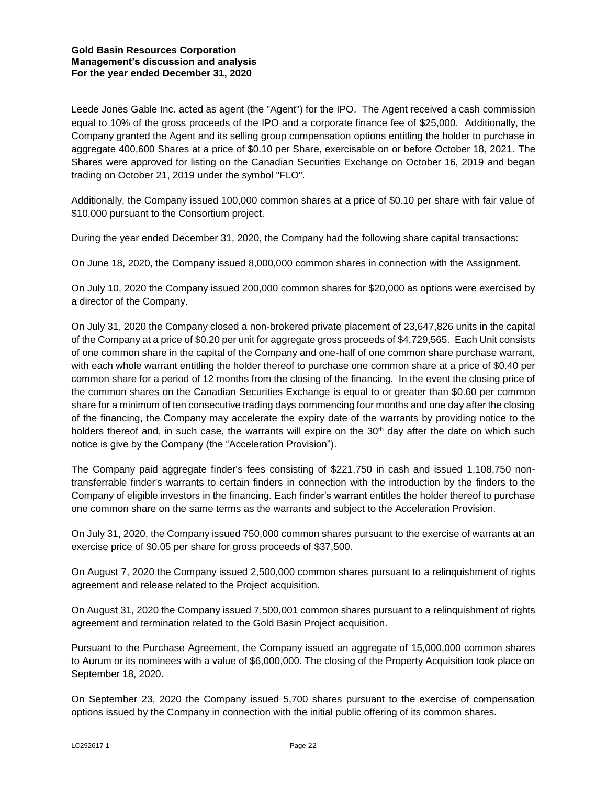Leede Jones Gable Inc. acted as agent (the "Agent") for the IPO. The Agent received a cash commission equal to 10% of the gross proceeds of the IPO and a corporate finance fee of \$25,000. Additionally, the Company granted the Agent and its selling group compensation options entitling the holder to purchase in aggregate 400,600 Shares at a price of \$0.10 per Share, exercisable on or before October 18, 2021. The Shares were approved for listing on the Canadian Securities Exchange on October 16, 2019 and began trading on October 21, 2019 under the symbol "FLO".

Additionally, the Company issued 100,000 common shares at a price of \$0.10 per share with fair value of \$10,000 pursuant to the Consortium project.

During the year ended December 31, 2020, the Company had the following share capital transactions:

On June 18, 2020, the Company issued 8,000,000 common shares in connection with the Assignment.

On July 10, 2020 the Company issued 200,000 common shares for \$20,000 as options were exercised by a director of the Company.

On July 31, 2020 the Company closed a non-brokered private placement of 23,647,826 units in the capital of the Company at a price of \$0.20 per unit for aggregate gross proceeds of \$4,729,565. Each Unit consists of one common share in the capital of the Company and one-half of one common share purchase warrant, with each whole warrant entitling the holder thereof to purchase one common share at a price of \$0.40 per common share for a period of 12 months from the closing of the financing. In the event the closing price of the common shares on the Canadian Securities Exchange is equal to or greater than \$0.60 per common share for a minimum of ten consecutive trading days commencing four months and one day after the closing of the financing, the Company may accelerate the expiry date of the warrants by providing notice to the holders thereof and, in such case, the warrants will expire on the  $30<sup>th</sup>$  day after the date on which such notice is give by the Company (the "Acceleration Provision").

The Company paid aggregate finder's fees consisting of \$221,750 in cash and issued 1,108,750 nontransferrable finder's warrants to certain finders in connection with the introduction by the finders to the Company of eligible investors in the financing. Each finder's warrant entitles the holder thereof to purchase one common share on the same terms as the warrants and subject to the Acceleration Provision.

On July 31, 2020, the Company issued 750,000 common shares pursuant to the exercise of warrants at an exercise price of \$0.05 per share for gross proceeds of \$37,500.

On August 7, 2020 the Company issued 2,500,000 common shares pursuant to a relinquishment of rights agreement and release related to the Project acquisition.

On August 31, 2020 the Company issued 7,500,001 common shares pursuant to a relinquishment of rights agreement and termination related to the Gold Basin Project acquisition.

Pursuant to the Purchase Agreement, the Company issued an aggregate of 15,000,000 common shares to Aurum or its nominees with a value of \$6,000,000. The closing of the Property Acquisition took place on September 18, 2020.

On September 23, 2020 the Company issued 5,700 shares pursuant to the exercise of compensation options issued by the Company in connection with the initial public offering of its common shares.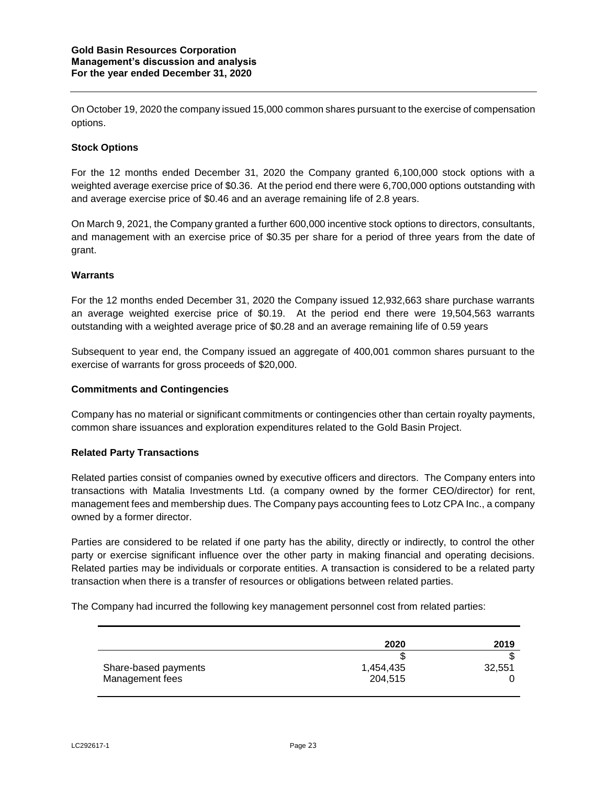On October 19, 2020 the company issued 15,000 common shares pursuant to the exercise of compensation options.

## **Stock Options**

For the 12 months ended December 31, 2020 the Company granted 6,100,000 stock options with a weighted average exercise price of \$0.36. At the period end there were 6,700,000 options outstanding with and average exercise price of \$0.46 and an average remaining life of 2.8 years.

On March 9, 2021, the Company granted a further 600,000 incentive stock options to directors, consultants, and management with an exercise price of \$0.35 per share for a period of three years from the date of grant.

### **Warrants**

For the 12 months ended December 31, 2020 the Company issued 12,932,663 share purchase warrants an average weighted exercise price of \$0.19. At the period end there were 19,504,563 warrants outstanding with a weighted average price of \$0.28 and an average remaining life of 0.59 years

Subsequent to year end, the Company issued an aggregate of 400,001 common shares pursuant to the exercise of warrants for gross proceeds of \$20,000.

### **Commitments and Contingencies**

Company has no material or significant commitments or contingencies other than certain royalty payments, common share issuances and exploration expenditures related to the Gold Basin Project.

### **Related Party Transactions**

Related parties consist of companies owned by executive officers and directors. The Company enters into transactions with Matalia Investments Ltd. (a company owned by the former CEO/director) for rent, management fees and membership dues. The Company pays accounting fees to Lotz CPA Inc., a company owned by a former director.

Parties are considered to be related if one party has the ability, directly or indirectly, to control the other party or exercise significant influence over the other party in making financial and operating decisions. Related parties may be individuals or corporate entities. A transaction is considered to be a related party transaction when there is a transfer of resources or obligations between related parties.

The Company had incurred the following key management personnel cost from related parties:

|                      | 2020      | 2019   |
|----------------------|-----------|--------|
|                      |           |        |
| Share-based payments | 1,454,435 | 32,551 |
| Management fees      | 204,515   |        |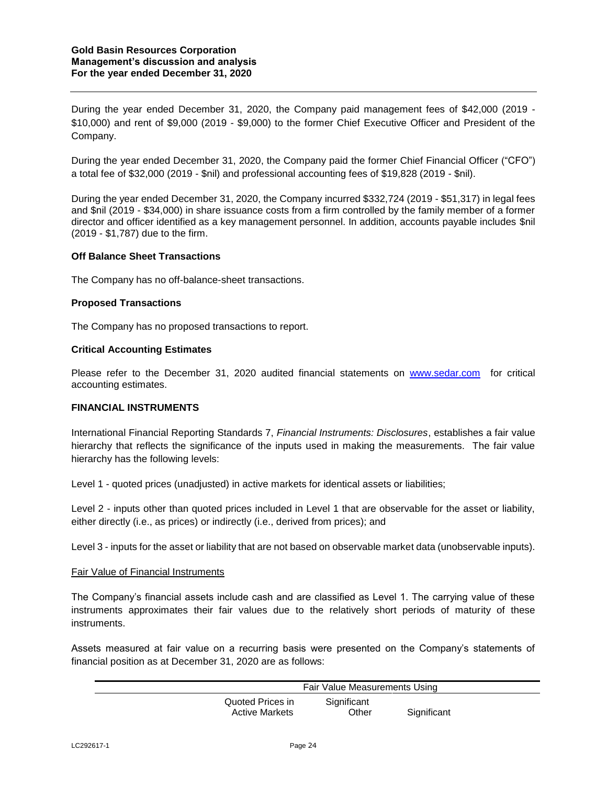During the year ended December 31, 2020, the Company paid management fees of \$42,000 (2019 - \$10,000) and rent of \$9,000 (2019 - \$9,000) to the former Chief Executive Officer and President of the Company.

During the year ended December 31, 2020, the Company paid the former Chief Financial Officer ("CFO") a total fee of \$32,000 (2019 - \$nil) and professional accounting fees of \$19,828 (2019 - \$nil).

During the year ended December 31, 2020, the Company incurred \$332,724 (2019 - \$51,317) in legal fees and \$nil (2019 - \$34,000) in share issuance costs from a firm controlled by the family member of a former director and officer identified as a key management personnel. In addition, accounts payable includes \$nil (2019 - \$1,787) due to the firm.

### **Off Balance Sheet Transactions**

The Company has no off-balance-sheet transactions.

### **Proposed Transactions**

The Company has no proposed transactions to report.

#### **Critical Accounting Estimates**

Please refer to the December 31, 2020 audited financial statements on [www.sedar.com](http://www.sedar.com/) for critical accounting estimates.

### **FINANCIAL INSTRUMENTS**

International Financial Reporting Standards 7, *Financial Instruments: Disclosures*, establishes a fair value hierarchy that reflects the significance of the inputs used in making the measurements. The fair value hierarchy has the following levels:

Level 1 - quoted prices (unadjusted) in active markets for identical assets or liabilities;

Level 2 - inputs other than quoted prices included in Level 1 that are observable for the asset or liability, either directly (i.e., as prices) or indirectly (i.e., derived from prices); and

Level 3 - inputs for the asset or liability that are not based on observable market data (unobservable inputs).

#### Fair Value of Financial Instruments

The Company's financial assets include cash and are classified as Level 1. The carrying value of these instruments approximates their fair values due to the relatively short periods of maturity of these instruments.

Assets measured at fair value on a recurring basis were presented on the Company's statements of financial position as at December 31, 2020 are as follows:

|                                           | Fair Value Measurements Using |             |  |  |  |  |
|-------------------------------------------|-------------------------------|-------------|--|--|--|--|
| Quoted Prices in<br><b>Active Markets</b> | Significant<br>Other          | Significant |  |  |  |  |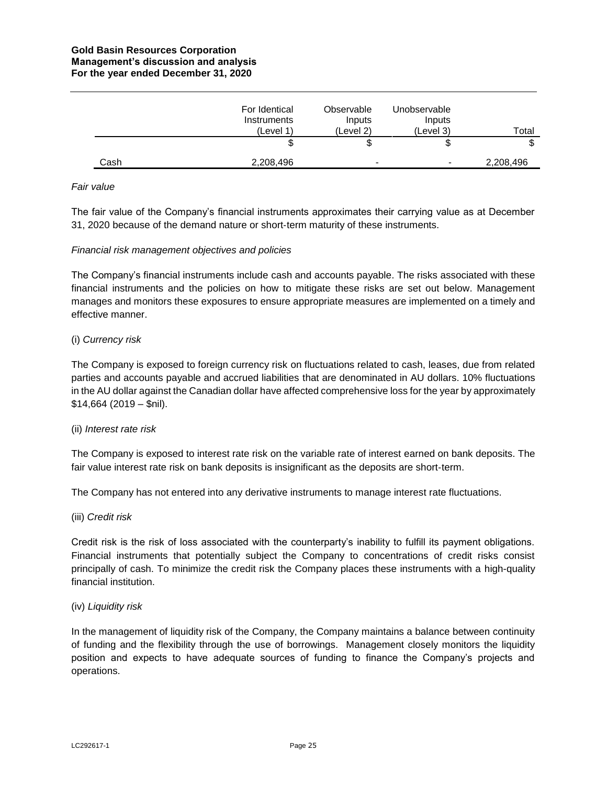|      | For Identical<br><b>Instruments</b><br>(Level 1) | Observable<br>Inputs<br>(Level 2) | Unobservable<br>Inputs<br>(Level 3) | Total     |
|------|--------------------------------------------------|-----------------------------------|-------------------------------------|-----------|
|      | ѡ                                                | Ψ                                 | Φ                                   |           |
| Cash | 2,208,496                                        | $\blacksquare$                    | $\,$                                | 2,208,496 |

#### *Fair value*

The fair value of the Company's financial instruments approximates their carrying value as at December 31, 2020 because of the demand nature or short‐term maturity of these instruments.

#### *Financial risk management objectives and policies*

The Company's financial instruments include cash and accounts payable. The risks associated with these financial instruments and the policies on how to mitigate these risks are set out below. Management manages and monitors these exposures to ensure appropriate measures are implemented on a timely and effective manner.

### (i) *Currency risk*

The Company is exposed to foreign currency risk on fluctuations related to cash, leases, due from related parties and accounts payable and accrued liabilities that are denominated in AU dollars. 10% fluctuations in the AU dollar against the Canadian dollar have affected comprehensive loss for the year by approximately  $$14,664$  (2019 – \$nil).

### (ii) *Interest rate risk*

The Company is exposed to interest rate risk on the variable rate of interest earned on bank deposits. The fair value interest rate risk on bank deposits is insignificant as the deposits are short‐term.

The Company has not entered into any derivative instruments to manage interest rate fluctuations.

#### (iii) *Credit risk*

Credit risk is the risk of loss associated with the counterparty's inability to fulfill its payment obligations. Financial instruments that potentially subject the Company to concentrations of credit risks consist principally of cash. To minimize the credit risk the Company places these instruments with a high-quality financial institution.

#### (iv) *Liquidity risk*

In the management of liquidity risk of the Company, the Company maintains a balance between continuity of funding and the flexibility through the use of borrowings. Management closely monitors the liquidity position and expects to have adequate sources of funding to finance the Company's projects and operations.